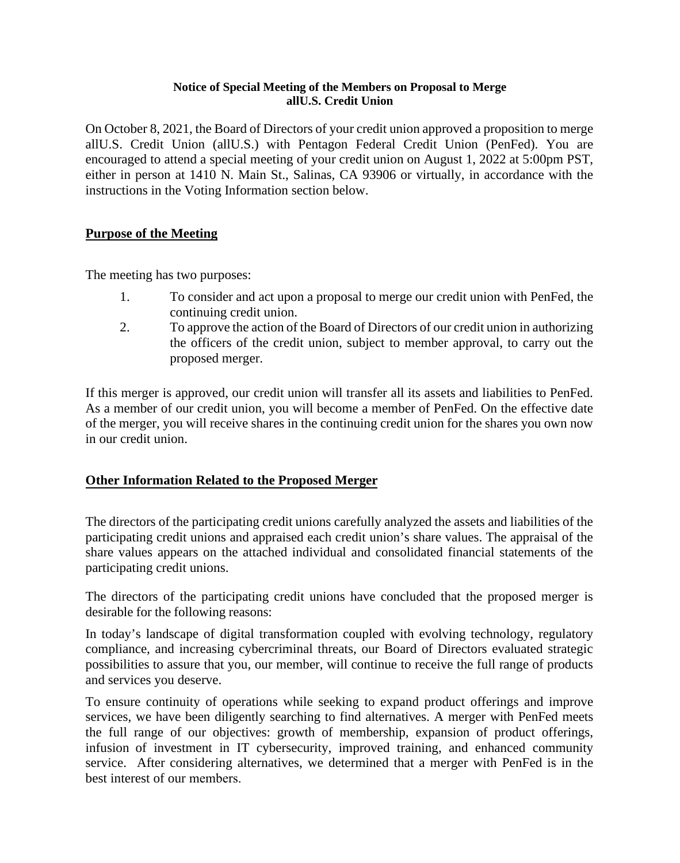#### **Notice of Special Meeting of the Members on Proposal to Merge allU.S. Credit Union**

On October 8, 2021, the Board of Directors of your credit union approved a proposition to merge allU.S. Credit Union (allU.S.) with Pentagon Federal Credit Union (PenFed). You are encouraged to attend a special meeting of your credit union on August 1, 2022 at 5:00pm PST, either in person at 1410 N. Main St., Salinas, CA 93906 or virtually, in accordance with the instructions in the Voting Information section below.

# **Purpose of the Meeting**

The meeting has two purposes:

- 1. To consider and act upon a proposal to merge our credit union with PenFed, the continuing credit union.
- 2. To approve the action of the Board of Directors of our credit union in authorizing the officers of the credit union, subject to member approval, to carry out the proposed merger.

If this merger is approved, our credit union will transfer all its assets and liabilities to PenFed. As a member of our credit union, you will become a member of PenFed. On the effective date of the merger, you will receive shares in the continuing credit union for the shares you own now in our credit union.

# **Other Information Related to the Proposed Merger**

The directors of the participating credit unions carefully analyzed the assets and liabilities of the participating credit unions and appraised each credit union's share values. The appraisal of the share values appears on the attached individual and consolidated financial statements of the participating credit unions.

The directors of the participating credit unions have concluded that the proposed merger is desirable for the following reasons:

In today's landscape of digital transformation coupled with evolving technology, regulatory compliance, and increasing cybercriminal threats, our Board of Directors evaluated strategic possibilities to assure that you, our member, will continue to receive the full range of products and services you deserve.

To ensure continuity of operations while seeking to expand product offerings and improve services, we have been diligently searching to find alternatives. A merger with PenFed meets the full range of our objectives: growth of membership, expansion of product offerings, infusion of investment in IT cybersecurity, improved training, and enhanced community service. After considering alternatives, we determined that a merger with PenFed is in the best interest of our members.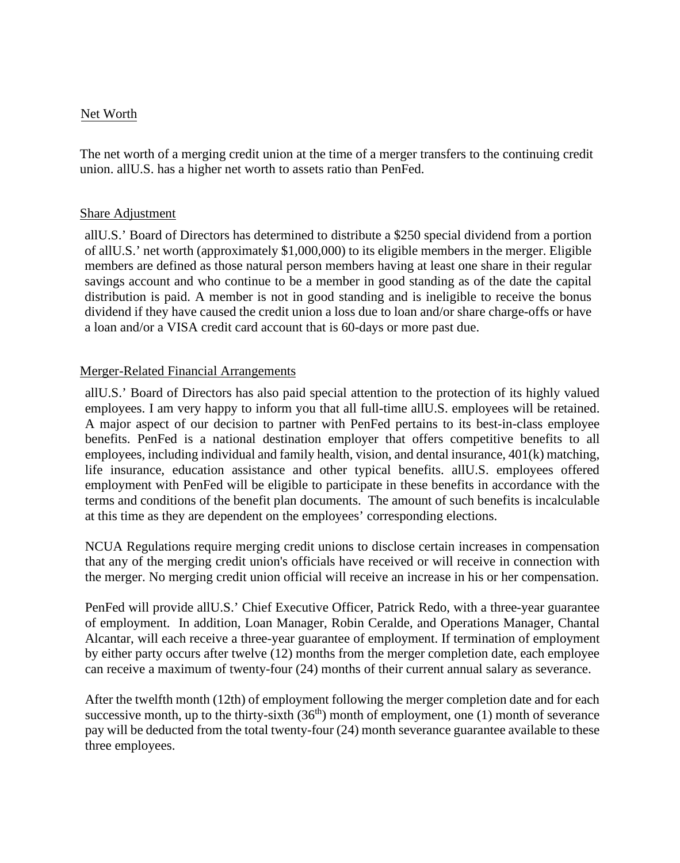# Net Worth

The net worth of a merging credit union at the time of a merger transfers to the continuing credit union. allU.S. has a higher net worth to assets ratio than PenFed.

### Share Adjustment

allU.S.' Board of Directors has determined to distribute a \$250 special dividend from a portion of allU.S.' net worth (approximately \$1,000,000) to its eligible members in the merger. Eligible members are defined as those natural person members having at least one share in their regular savings account and who continue to be a member in good standing as of the date the capital distribution is paid. A member is not in good standing and is ineligible to receive the bonus dividend if they have caused the credit union a loss due to loan and/or share charge-offs or have a loan and/or a VISA credit card account that is 60-days or more past due.

# Merger-Related Financial Arrangements

allU.S.' Board of Directors has also paid special attention to the protection of its highly valued employees. I am very happy to inform you that all full-time allU.S. employees will be retained. A major aspect of our decision to partner with PenFed pertains to its best-in-class employee benefits. PenFed is a national destination employer that offers competitive benefits to all employees, including individual and family health, vision, and dental insurance, 401(k) matching, life insurance, education assistance and other typical benefits. allU.S. employees offered employment with PenFed will be eligible to participate in these benefits in accordance with the terms and conditions of the benefit plan documents. The amount of such benefits is incalculable at this time as they are dependent on the employees' corresponding elections.

NCUA Regulations require merging credit unions to disclose certain increases in compensation that any of the merging credit union's officials have received or will receive in connection with the merger. No merging credit union official will receive an increase in his or her compensation.

PenFed will provide allU.S.' Chief Executive Officer, Patrick Redo, with a three-year guarantee of employment. In addition, Loan Manager, Robin Ceralde, and Operations Manager, Chantal Alcantar, will each receive a three-year guarantee of employment. If termination of employment by either party occurs after twelve (12) months from the merger completion date, each employee can receive a maximum of twenty-four (24) months of their current annual salary as severance.

After the twelfth month (12th) of employment following the merger completion date and for each successive month, up to the thirty-sixth  $(36<sup>th</sup>)$  month of employment, one (1) month of severance pay will be deducted from the total twenty-four (24) month severance guarantee available to these three employees.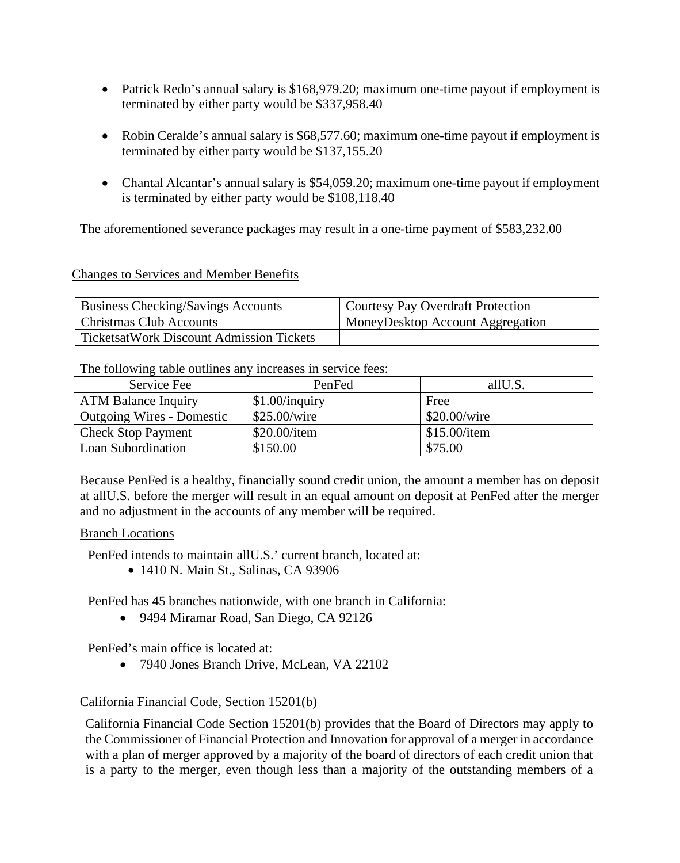- Patrick Redo's annual salary is \$168,979.20; maximum one-time payout if employment is terminated by either party would be \$337,958.40
- Robin Ceralde's annual salary is \$68,577.60; maximum one-time payout if employment is terminated by either party would be \$137,155.20
- Chantal Alcantar's annual salary is \$54,059.20; maximum one-time payout if employment is terminated by either party would be \$108,118.40

The aforementioned severance packages may result in a one-time payment of \$583,232.00

#### Changes to Services and Member Benefits

| <b>Business Checking/Savings Accounts</b> | Courtesy Pay Overdraft Protection       |
|-------------------------------------------|-----------------------------------------|
| <b>Christmas Club Accounts</b>            | <b>MoneyDesktop Account Aggregation</b> |
| TicketsatWork Discount Admission Tickets  |                                         |

The following table outlines any increases in service fees:

| Service Fee                | PenFed           | allU.S.      |
|----------------------------|------------------|--------------|
| <b>ATM Balance Inquiry</b> | $$1.00/$ inquiry | Free         |
| Outgoing Wires - Domestic  | \$25.00/wire     | \$20.00/wire |
| <b>Check Stop Payment</b>  | \$20.00/item     | \$15.00/item |
| Loan Subordination         | \$150.00         | \$75.00      |

Because PenFed is a healthy, financially sound credit union, the amount a member has on deposit at allU.S. before the merger will result in an equal amount on deposit at PenFed after the merger and no adjustment in the accounts of any member will be required.

#### Branch Locations

PenFed intends to maintain allU.S.' current branch, located at:

• 1410 N. Main St., Salinas, CA 93906

PenFed has 45 branches nationwide, with one branch in California:

• 9494 Miramar Road, San Diego, CA 92126

PenFed's main office is located at:

• 7940 Jones Branch Drive, McLean, VA 22102

# California Financial Code, Section 15201(b)

California Financial Code Section 15201(b) provides that the Board of Directors may apply to the Commissioner of Financial Protection and Innovation for approval of a merger in accordance with a plan of merger approved by a majority of the board of directors of each credit union that is a party to the merger, even though less than a majority of the outstanding members of a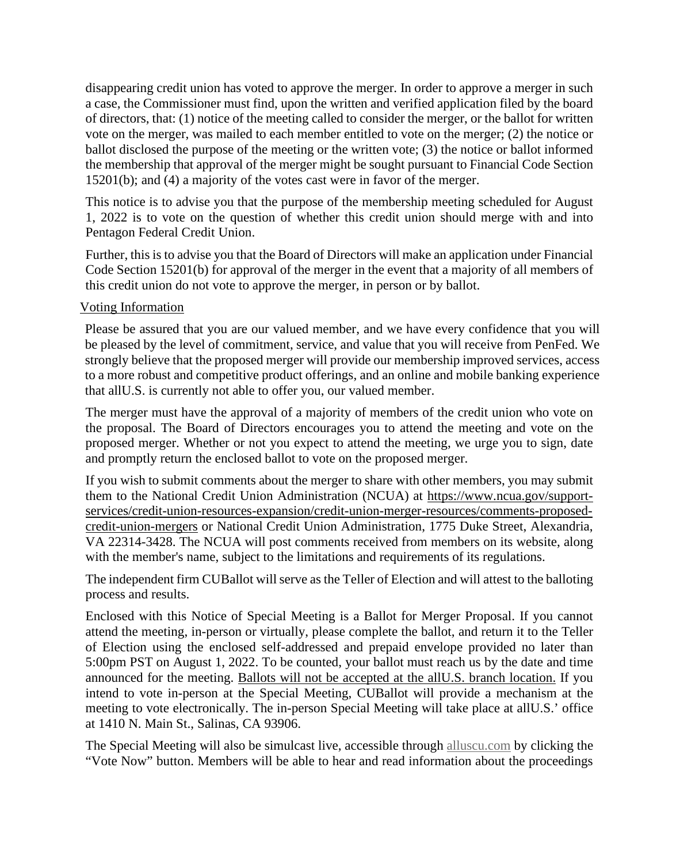disappearing credit union has voted to approve the merger. In order to approve a merger in such a case, the Commissioner must find, upon the written and verified application filed by the board of directors, that: (1) notice of the meeting called to consider the merger, or the ballot for written vote on the merger, was mailed to each member entitled to vote on the merger; (2) the notice or ballot disclosed the purpose of the meeting or the written vote; (3) the notice or ballot informed the membership that approval of the merger might be sought pursuant to Financial Code Section 15201(b); and (4) a majority of the votes cast were in favor of the merger.

This notice is to advise you that the purpose of the membership meeting scheduled for August 1, 2022 is to vote on the question of whether this credit union should merge with and into Pentagon Federal Credit Union.

Further, this is to advise you that the Board of Directors will make an application under Financial Code Section 15201(b) for approval of the merger in the event that a majority of all members of this credit union do not vote to approve the merger, in person or by ballot.

#### Voting Information

Please be assured that you are our valued member, and we have every confidence that you will be pleased by the level of commitment, service, and value that you will receive from PenFed. We strongly believe that the proposed merger will provide our membership improved services, access to a more robust and competitive product offerings, and an online and mobile banking experience that allU.S. is currently not able to offer you, our valued member.

The merger must have the approval of a majority of members of the credit union who vote on the proposal. The Board of Directors encourages you to attend the meeting and vote on the proposed merger. Whether or not you expect to attend the meeting, we urge you to sign, date and promptly return the enclosed ballot to vote on the proposed merger.

If you wish to submit comments about the merger to share with other members, you may submit them to the National Credit Union Administration (NCUA) at https://www.ncua.gov/supportservices/credit-union-resources-expansion/credit-union-merger-resources/comments-proposedcredit-union-mergers or National Credit Union Administration, 1775 Duke Street, Alexandria, VA 22314-3428. The NCUA will post comments received from members on its website, along with the member's name, subject to the limitations and requirements of its regulations.

The independent firm CUBallot will serve as the Teller of Election and will attest to the balloting process and results.

Enclosed with this Notice of Special Meeting is a Ballot for Merger Proposal. If you cannot attend the meeting, in-person or virtually, please complete the ballot, and return it to the Teller of Election using the enclosed self-addressed and prepaid envelope provided no later than 5:00pm PST on August 1, 2022. To be counted, your ballot must reach us by the date and time announced for the meeting. Ballots will not be accepted at the allU.S. branch location. If you intend to vote in-person at the Special Meeting, CUBallot will provide a mechanism at the meeting to vote electronically. The in-person Special Meeting will take place at allU.S.' office at 1410 N. Main St., Salinas, CA 93906.

The Special Meeting will also be simulcast live, accessible through alluscu.com by clicking the "Vote Now" button. Members will be able to hear and read information about the proceedings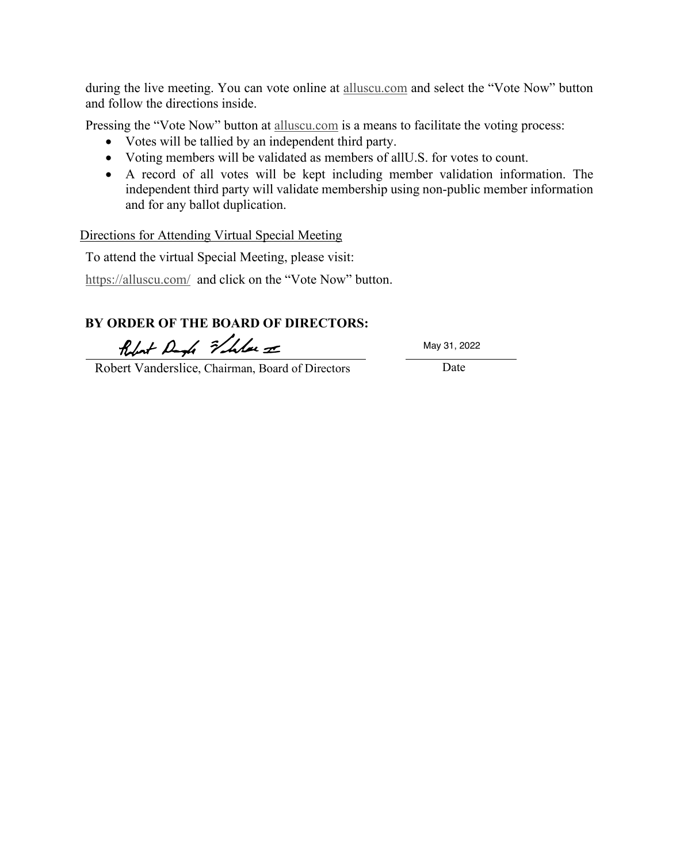during the live meeting. You can vote online at [alluscu.com](http://www.alluscu.com/) and select the "Vote Now" button and follow the directions inside.

Pressing the "Vote Now" button at [alluscu.com](http://www.alluscu.com/) is a means to facilitate the voting process:

- Votes will be tallied by an independent third party.
- Voting members will be validated as members of allU.S. for votes to count.
- A record of all votes will be kept including member validation information. The independent third party will validate membership using non-public member information and for any ballot duplication.

#### Directions for Attending Virtual Special Meeting

To attend the virtual Special Meeting, please visit:

<https://alluscu.com/>and click on the "Vote Now" button.

# **BY ORDER OF THE BOARD OF DIRECTORS:**

Robert Dagh Fleben =

May 31, 2022

Robert Vanderslice, Chairman, Board of Directors Date